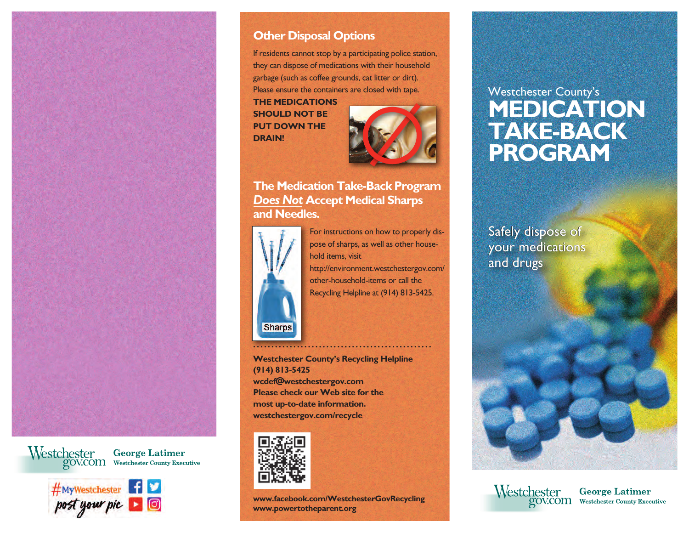

Westchester George Latimer<br>gov.com Westchester County Executive



## **Other Disposal Options**

If residents cannot stop by a participating police station, they can dispose of medications with their household garbage (such as coffee grounds, cat litter or dirt). Please ensure the containers are closed with tape.

**THE MEDICATIONS SHOULD NOT BE PUT DOWN THE DRAIN!**



## **The Medication Take-Back Program** *Does Not* **Accept Medical Sharps and Needles.**



For instructions on how to properly dispose of sharps, as well as other household items, visit http://environment.westchestergov.com/ other-household-items or call the Recycling Helpline at (914) 813-5425.

### **Westchester County's Recycling Helpline (914) 813-5425 wcdef@westchestergov.com Please check our Web site for the most up-to-date information. westchestergov.com/recycle**



**www.facebook.com/WestchesterGovRecycling www.powertotheparent.org**

# Westchester County's **MEDICATION TAKE-BACK PROGRAM**

Safely dispose of Safely dispose of<br>your medications and drugs and drugs



Westchester George Latimer<br>gov.com Westchester County Executive